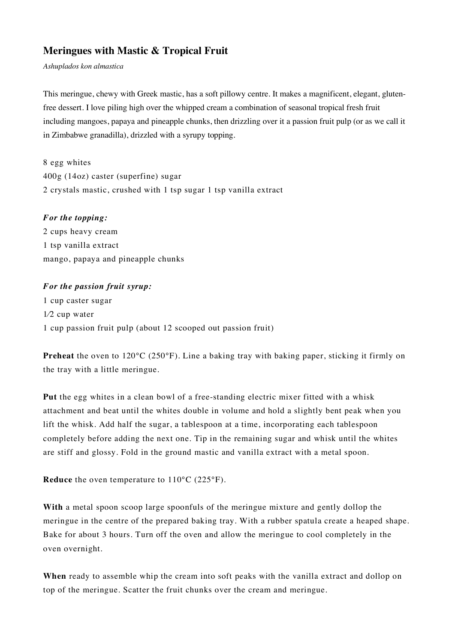## **Meringues with Mastic & Tropical Fruit**

*Ashuplados kon almastica* 

This meringue, chewy with Greek mastic, has a soft pillowy centre. It makes a magnificent, elegant, glutenfree dessert. I love piling high over the whipped cream a combination of seasonal tropical fresh fruit including mangoes, papaya and pineapple chunks, then drizzling over it a passion fruit pulp (or as we call it in Zimbabwe granadilla), drizzled with a syrupy topping.

8 egg whites 400g (14oz) caster (superfine) sugar 2 crystals mastic, crushed with 1 tsp sugar 1 tsp vanilla extract

## *For the topping:*

2 cups heavy cream 1 tsp vanilla extract mango, papaya and pineapple chunks

## *For the passion fruit syrup:*

1 cup caster sugar 1⁄2 cup water 1 cup passion fruit pulp (about 12 scooped out passion fruit)

**Preheat** the oven to 120<sup>o</sup>C (250<sup>o</sup>F). Line a baking tray with baking paper, sticking it firmly on the tray with a little meringue.

**Put** the egg whites in a clean bowl of a free-standing electric mixer fitted with a whisk attachment and beat until the whites double in volume and hold a slightly bent peak when you lift the whisk. Add half the sugar, a tablespoon at a time, incorporating each tablespoon completely before adding the next one. Tip in the remaining sugar and whisk until the whites are stiff and glossy. Fold in the ground mastic and vanilla extract with a metal spoon.

**Reduce** the oven temperature to 110°C (225°F).

**With** a metal spoon scoop large spoonfuls of the meringue mixture and gently dollop the meringue in the centre of the prepared baking tray. With a rubber spatula create a heaped shape. Bake for about 3 hours. Turn off the oven and allow the meringue to cool completely in the oven overnight.

**When** ready to assemble whip the cream into soft peaks with the vanilla extract and dollop on top of the meringue. Scatter the fruit chunks over the cream and meringue.